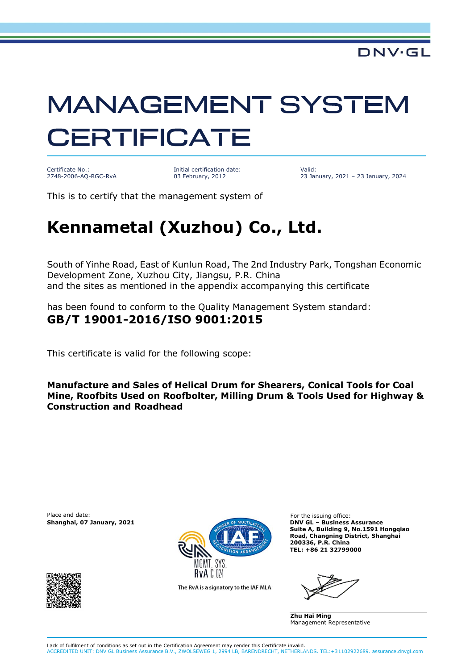## **MANAGEMENT SYSTEM CERTIFICATE**

Certificate No.: 2748-2006-AQ-RGC-RvA

Initial certification date: 03 February, 2012

Valid: 23 January, 2021 – 23 January, 2024

This is to certify that the management system of

## **Kennametal (Xuzhou) Co., Ltd.**

South of Yinhe Road, East of Kunlun Road, The 2nd Industry Park, Tongshan Economic Development Zone, Xuzhou City, Jiangsu, P.R. China and the sites as mentioned in the appendix accompanying this certificate

has been found to conform to the Quality Management System standard: **GB/T 19001-2016/ISO 9001:2015**

This certificate is valid for the following scope:

**Manufacture and Sales of Helical Drum for Shearers, Conical Tools for Coal Mine, Roofbits Used on Roofbolter, Milling Drum & Tools Used for Highway & Construction and Roadhead**

Place and date: For the issuing office:





The RvA is a signatory to the IAF MLA

**Suite A, Building 9, No.1591 Hongqiao Road, Changning District, Shanghai 200336, P.R. China TEL: +86 21 32799000**

**Zhu Hai Ming** Management Representative

Lack of fulfilment of conditions as set out in the Certification Agreement may render this Certificate invalid. ACCREDITED UNIT: DNV GL Business Assurance B.V., ZWOLSEWEG 1, 2994 LB, BARENDRECHT, NETHERLANDS. TEL:+31102922689. assurance.dnvgl.com